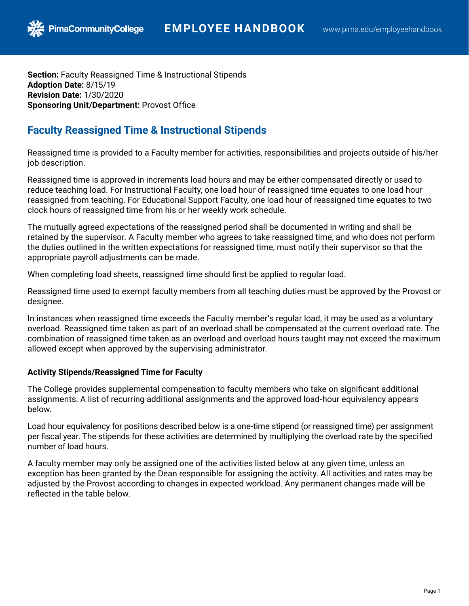**Section:** Faculty Reassigned Time & Instructional Stipends **Adoption Date:** 8/15/19 **Revision Date:** 1/30/2020 **Sponsoring Unit/Department:** Provost Office

PimaCommunityCollege

## **Faculty Reassigned Time & Instructional Stipends**

Reassigned time is provided to a Faculty member for activities, responsibilities and projects outside of his/her job description.

Reassigned time is approved in increments load hours and may be either compensated directly or used to reduce teaching load. For Instructional Faculty, one load hour of reassigned time equates to one load hour reassigned from teaching. For Educational Support Faculty, one load hour of reassigned time equates to two clock hours of reassigned time from his or her weekly work schedule.

The mutually agreed expectations of the reassigned period shall be documented in writing and shall be retained by the supervisor. A Faculty member who agrees to take reassigned time, and who does not perform the duties outlined in the written expectations for reassigned time, must notify their supervisor so that the appropriate payroll adjustments can be made.

When completing load sheets, reassigned time should first be applied to regular load.

Reassigned time used to exempt faculty members from all teaching duties must be approved by the Provost or designee.

In instances when reassigned time exceeds the Faculty member's regular load, it may be used as a voluntary overload. Reassigned time taken as part of an overload shall be compensated at the current overload rate. The combination of reassigned time taken as an overload and overload hours taught may not exceed the maximum allowed except when approved by the supervising administrator.

## **Activity Stipends/Reassigned Time for Faculty**

The College provides supplemental compensation to faculty members who take on significant additional assignments. A list of recurring additional assignments and the approved load-hour equivalency appears below.

Load hour equivalency for positions described below is a one-time stipend (or reassigned time) per assignment per fiscal year. The stipends for these activities are determined by multiplying the overload rate by the specified number of load hours.

A faculty member may only be assigned one of the activities listed below at any given time, unless an exception has been granted by the Dean responsible for assigning the activity. All activities and rates may be adjusted by the Provost according to changes in expected workload. Any permanent changes made will be reflected in the table below.